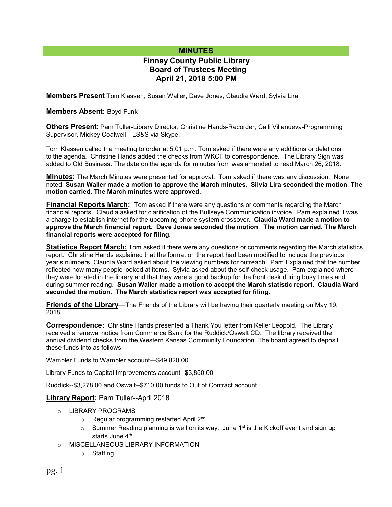# **MINUTES**

# **Finney County Public Library Board of Trustees Meeting April 21, 2018 5:00 PM**

**Members Present** Tom Klassen, Susan Waller, Dave Jones, Claudia Ward, Sylvia Lira

## **Members Absent:** Boyd Funk

**Others Present**: Pam Tuller-Library Director, Christine Hands-Recorder, Calli Villanueva-Programming Supervisor, Mickey Coalwell—LS&S via Skype.

Tom Klassen called the meeting to order at 5:01 p.m. Tom asked if there were any additions or deletions to the agenda. Christine Hands added the checks from WKCF to correspondence. The Library Sign was added to Old Business. The date on the agenda for minutes from was amended to read March 26, 2018.

**Minutes:** The March Minutes were presented for approval**.** Tom asked if there was any discussion. None noted. **Susan Waller made a motion to approve the March minutes. Silvia Lira seconded the motion**. **The motion carried. The March minutes were approved.** 

**Financial Reports March:** Tom asked if there were any questions or comments regarding the March financial reports. Claudia asked for clarification of the Bullseye Communication invoice. Pam explained it was a charge to establish internet for the upcoming phone system crossover. **Claudia Ward made a motion to approve the March financial report. Dave Jones seconded the motion**. **The motion carried. The March financial reports were accepted for filing.**

**Statistics Report March:** Tom asked if there were any questions or comments regarding the March statistics report. Christine Hands explained that the format on the report had been modified to include the previous year's numbers. Claudia Ward asked about the viewing numbers for outreach. Pam Explained that the number reflected how many people looked at items. Sylvia asked about the self-check usage. Pam explained where they were located in the library and that they were a good backup for the front desk during busy times and during summer reading. **Susan Waller made a motion to accept the March statistic report. Claudia Ward seconded the motion**. **The March statistics report was accepted for filing.**

**Friends of the Library**—The Friends of the Library will be having their quarterly meeting on May 19, 2018.

**Correspondence:** Christine Hands presented a Thank You letter from Keller Leopold. The Library received a renewal notice from Commerce Bank for the Ruddick/Oswalt CD. The library received the annual dividend checks from the Western Kansas Community Foundation. The board agreed to deposit these funds into as follows:

Wampler Funds to Wampler account—\$49,820.00

Library Funds to Capital Improvements account--\$3,850.00

Ruddick--\$3,278.00 and Oswalt--\$710.00 funds to Out of Contract account

## **Library Report:** Pam Tuller--April 2018

## o LIBRARY PROGRAMS

- o Regular programming restarted April 2<sup>nd</sup>.
- $\circ$  Summer Reading planning is well on its way. June 1<sup>st</sup> is the Kickoff event and sign up starts June 4<sup>th</sup>.
- o MISCELLANEOUS LIBRARY INFORMATION
	- o Staffing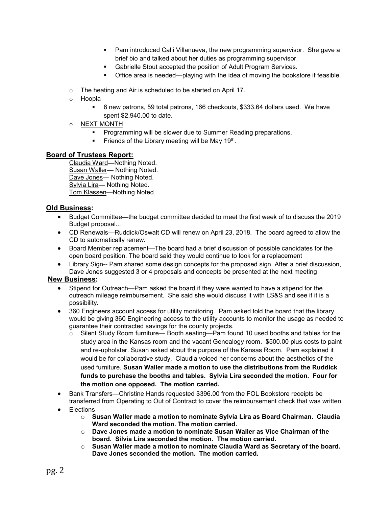- **Pam introduced Calli Villanueva, the new programming supervisor. She gave a** brief bio and talked about her duties as programming supervisor.
- Gabrielle Stout accepted the position of Adult Program Services.
- Office area is needed—playing with the idea of moving the bookstore if feasible.
- o The heating and Air is scheduled to be started on April 17.
- o Hoopla
	- 6 new patrons, 59 total patrons, 166 checkouts, \$333.64 dollars used. We have spent \$2,940.00 to date.
- o NEXT MONTH
	- **Programming will be slower due to Summer Reading preparations.**
	- Friends of the Library meeting will be May 19th.

## **Board of Trustees Report:**

Claudia Ward—Nothing Noted. Susan Waller— Nothing Noted. Dave Jones— Nothing Noted. Sylvia Lira— Nothing Noted. Tom Klassen-Nothing Noted.

## **Old Business:**

- Budget Committee—the budget committee decided to meet the first week of to discuss the 2019 Budget proposal...
- CD Renewals—Ruddick/Oswalt CD will renew on April 23, 2018. The board agreed to allow the CD to automatically renew.
- Board Member replacement—The board had a brief discussion of possible candidates for the open board position. The board said they would continue to look for a replacement
- Library Sign-- Pam shared some design concepts for the proposed sign. After a brief discussion, Dave Jones suggested 3 or 4 proposals and concepts be presented at the next meeting

## **New Business:**

- Stipend for Outreach—Pam asked the board if they were wanted to have a stipend for the outreach mileage reimbursement. She said she would discuss it with LS&S and see if it is a possibility.
- 360 Engineers account access for utility monitoring. Pam asked told the board that the library would be giving 360 Engineering access to the utility accounts to monitor the usage as needed to guarantee their contracted savings for the county projects.
	- o Silent Study Room furniture— Booth seating—Pam found 10 used booths and tables for the study area in the Kansas room and the vacant Genealogy room. \$500.00 plus costs to paint and re-upholster. Susan asked about the purpose of the Kansas Room. Pam explained it would be for collaborative study. Claudia voiced her concerns about the aesthetics of the used furniture. **Susan Waller made a motion to use the distributions from the Ruddick funds to purchase the booths and tables. Sylvia Lira seconded the motion. Four for the motion one opposed. The motion carried.**
- Bank Transfers—Christine Hands requested \$396.00 from the FOL Bookstore receipts be transferred from Operating to Out of Contract to cover the reimbursement check that was written.
- **Elections** 
	- o **Susan Waller made a motion to nominate Sylvia Lira as Board Chairman. Claudia Ward seconded the motion. The motion carried.**
	- o **Dave Jones made a motion to nominate Susan Waller as Vice Chairman of the board. Silvia Lira seconded the motion. The motion carried.**
	- o **Susan Waller made a motion to nominate Claudia Ward as Secretary of the board. Dave Jones seconded the motion. The motion carried.**